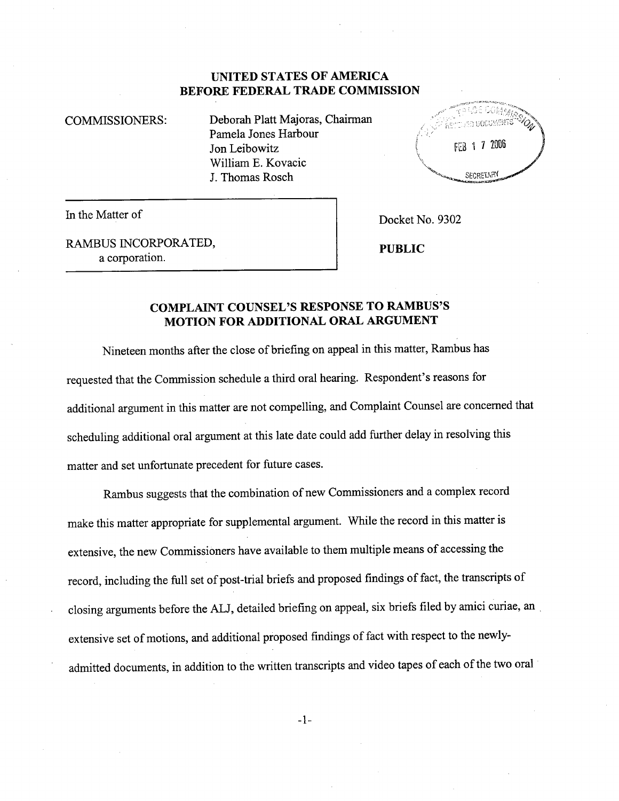## UNITED STATES OF AMERICA BEFORE FEDERAL TRADE COMMISSION

COMMISSIONERS: Deborah Platt Majoras, Chairman Pamela Jones Harbour Jon Leibowitz Wiliam E. Kovacic J. Thomas Rosch



In the Matter of Docket No. 9302

RAMBUS INCORPORATED, a corporation.

PUBLIC

## COMPLAINT COUNSEL'S RESPONSE TO RABUS'S MOTION FOR ADDITIONAL ORAL ARGUMENT

Nineteen months after the close of briefing on appeal in this matter, Rambus has requested that the Commission schedule a third oral hearng. Respondent's reasons for additional argument in this matter are not compelling, and Complaint Counsel are concerned that scheduling additional oral argument at this late date could add further delay in resolving this matter and set unfortunate precedent for future cases.

Rambus suggests that the combination of new Commissioners and a complex record make this matter appropriate for supplemental argument. While the record in this matter is extensive, the new Commissioners have available to them multiple means of accessing the record, including the full set of post-trial briefs and proposed findings of fact, the transcripts of closing arguments before the ALJ, detailed briefing on appeal, six briefs filed by amici curiae, an , extensive set of motions, and additional proposed findings of fact with respect to the newlyadmitted documents, in addition to the written transcripts and video tapes of each of the two oral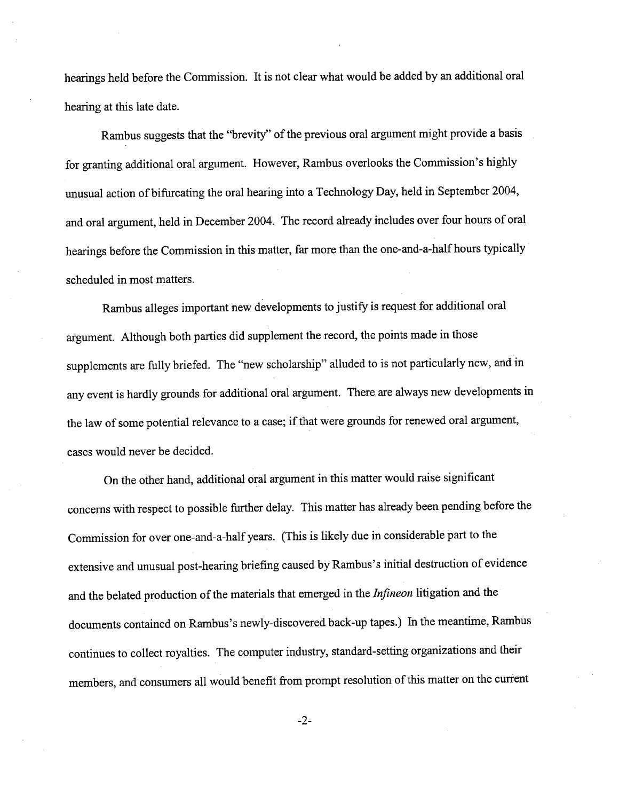hearings held before the Commission. It is not clear what would be added by an additional oral hearing at this late date.

Rambus suggests that the "brevity" of the previous oral argument might provide a basis for granting additional oral argument. However, Rambus overlooks the Commission's highly unusual action of bifucating the oral hearing into a Technology Day, held in September 2004, and oral argument, held in December 2004. The record already includes over four hours of oral hearings before the Commission in this matter, far more than the one-and-a-half hours typically scheduled in most matters.

Rambus alleges important new developments to justify is request for additional oral argument. Although both paries did supplement the record, the points made in those supplements are fully briefed. The "new scholarship" alluded to is not paricularly new, and in any event is hardly grounds for additional oral argument. There are always new developments in the law of some potential relevance to a case; if that were grounds for renewed oral argument, cases would never be decided.

On the other hand, additional oral argument in this matter would raise significant concerns with respect to possible further delay. This matter has already been pending before the Commission for over one-and-a-half years. (This is likely due in considerable part to the extensive and unusual post-hearng briefing caused by Rambus's initial destruction of evidence and the belated production of the materials that emerged in the Infineon litigation and the documents contained on Rambus's newly-discovered back-up tapes.) In the meantime, Rambus continues to collect royalties. The computer industry, standard-setting organizations and their members, and consumers all would benefit from prompt resolution of this matter on the current

-2-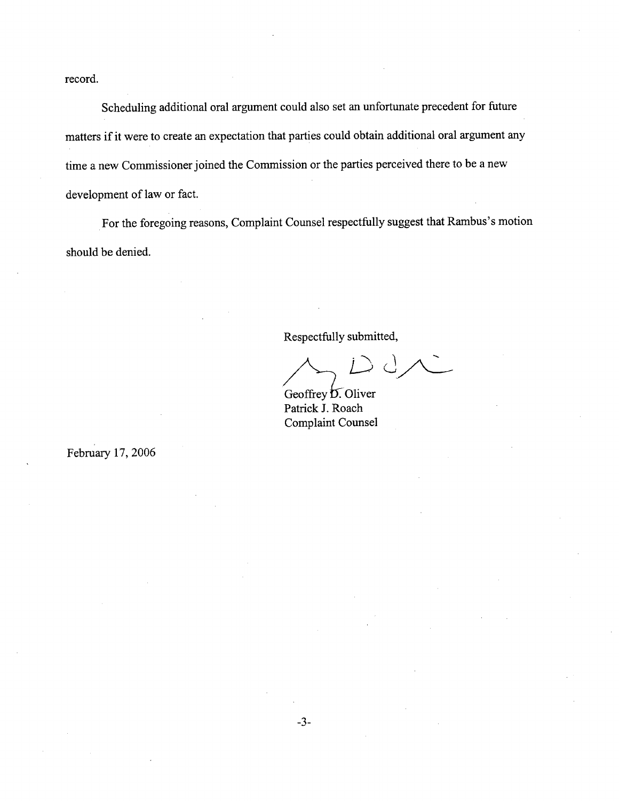record.

Scheduling additional oral argument could also set an unfortunate precedent for future matters if it were to create an expectation that parties could obtain additional oral argument any time a new Commissioner joined the Commission or the paries perceived there to be a new development of law or fact.

For the foregoing reasons, Complaint Counsel respectfully suggest that Rambus's motion should be denied.

Respectfully submitted,

Geoffrey D. Oliver<br>Patrick J. Roach

Geoffrey **D**. Oliver Patrick J. Roach Complaint Counsel

February 17, 2006